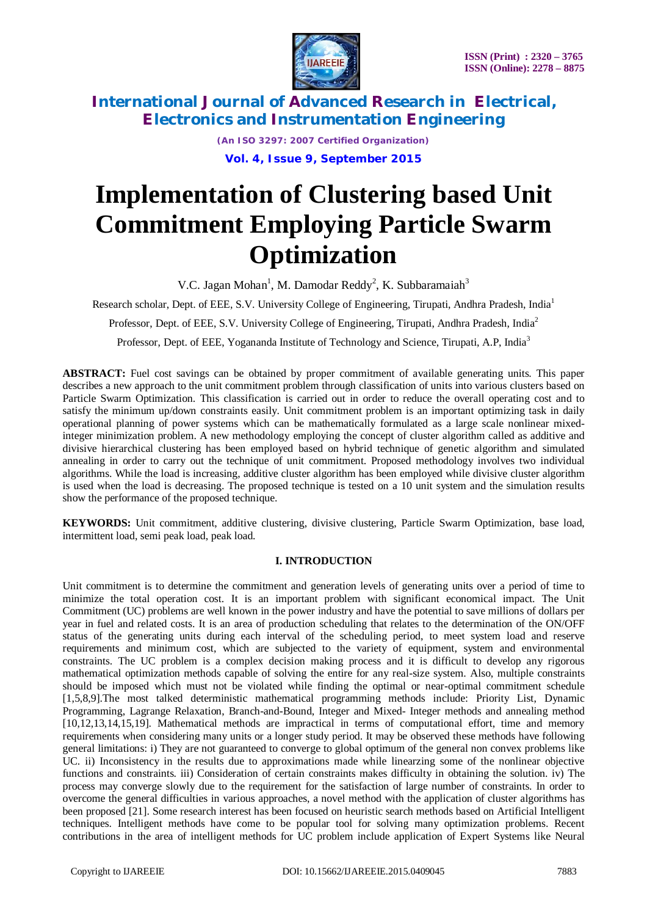

> *(An ISO 3297: 2007 Certified Organization)* **Vol. 4, Issue 9, September 2015**

# **Implementation of Clustering based Unit Commitment Employing Particle Swarm Optimization**

V.C. Jagan Mohan<sup>1</sup>, M. Damodar Reddy<sup>2</sup>, K. Subbaramaiah<sup>3</sup>

Research scholar, Dept. of EEE, S.V. University College of Engineering, Tirupati, Andhra Pradesh, India<sup>1</sup>

Professor, Dept. of EEE, S.V. University College of Engineering, Tirupati, Andhra Pradesh, India<sup>2</sup>

Professor, Dept. of EEE, Yogananda Institute of Technology and Science, Tirupati, A.P, India<sup>3</sup>

**ABSTRACT:** Fuel cost savings can be obtained by proper commitment of available generating units. This paper describes a new approach to the unit commitment problem through classification of units into various clusters based on Particle Swarm Optimization. This classification is carried out in order to reduce the overall operating cost and to satisfy the minimum up/down constraints easily. Unit commitment problem is an important optimizing task in daily operational planning of power systems which can be mathematically formulated as a large scale nonlinear mixedinteger minimization problem. A new methodology employing the concept of cluster algorithm called as additive and divisive hierarchical clustering has been employed based on hybrid technique of genetic algorithm and simulated annealing in order to carry out the technique of unit commitment. Proposed methodology involves two individual algorithms. While the load is increasing, additive cluster algorithm has been employed while divisive cluster algorithm is used when the load is decreasing. The proposed technique is tested on a 10 unit system and the simulation results show the performance of the proposed technique.

**KEYWORDS:** Unit commitment, additive clustering, divisive clustering, Particle Swarm Optimization, base load, intermittent load, semi peak load, peak load.

### **I. INTRODUCTION**

Unit commitment is to determine the commitment and generation levels of generating units over a period of time to minimize the total operation cost. It is an important problem with significant economical impact. The Unit Commitment (UC) problems are well known in the power industry and have the potential to save millions of dollars per year in fuel and related costs. It is an area of production scheduling that relates to the determination of the ON/OFF status of the generating units during each interval of the scheduling period, to meet system load and reserve requirements and minimum cost, which are subjected to the variety of equipment, system and environmental constraints. The UC problem is a complex decision making process and it is difficult to develop any rigorous mathematical optimization methods capable of solving the entire for any real-size system. Also, multiple constraints should be imposed which must not be violated while finding the optimal or near-optimal commitment schedule [1,5,8,9].The most talked deterministic mathematical programming methods include: Priority List, Dynamic Programming, Lagrange Relaxation, Branch-and-Bound, Integer and Mixed- Integer methods and annealing method [10,12,13,14,15,19]. Mathematical methods are impractical in terms of computational effort, time and memory requirements when considering many units or a longer study period. It may be observed these methods have following general limitations: i) They are not guaranteed to converge to global optimum of the general non convex problems like UC. ii) Inconsistency in the results due to approximations made while linearzing some of the nonlinear objective functions and constraints. iii) Consideration of certain constraints makes difficulty in obtaining the solution. iv) The process may converge slowly due to the requirement for the satisfaction of large number of constraints. In order to overcome the general difficulties in various approaches, a novel method with the application of cluster algorithms has been proposed [21]. Some research interest has been focused on heuristic search methods based on Artificial Intelligent techniques. Intelligent methods have come to be popular tool for solving many optimization problems. Recent contributions in the area of intelligent methods for UC problem include application of Expert Systems like Neural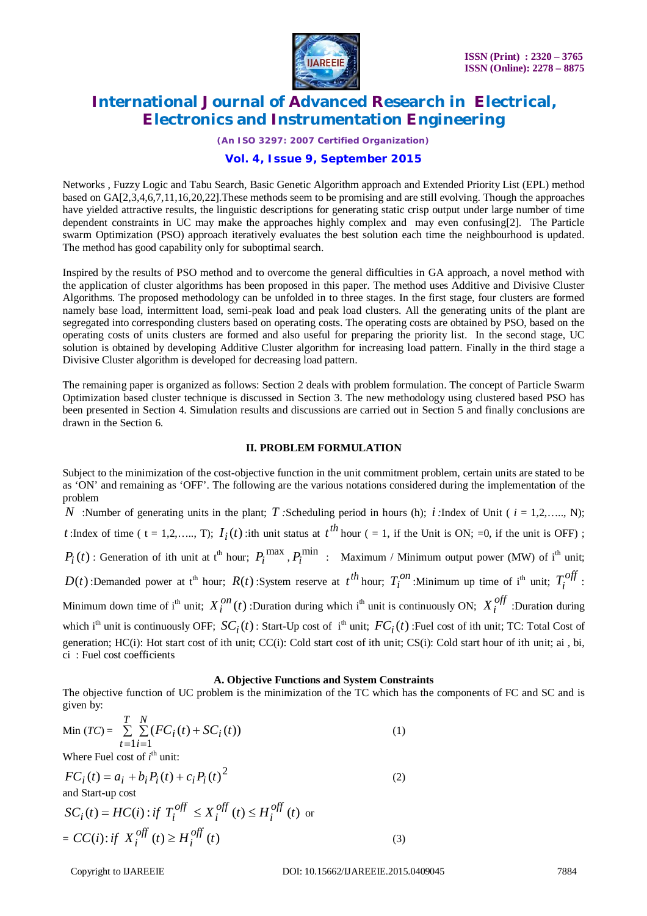

*(An ISO 3297: 2007 Certified Organization)*

### **Vol. 4, Issue 9, September 2015**

Networks , Fuzzy Logic and Tabu Search, Basic Genetic Algorithm approach and Extended Priority List (EPL) method based on GA[2,3,4,6,7,11,16,20,22].These methods seem to be promising and are still evolving. Though the approaches have yielded attractive results, the linguistic descriptions for generating static crisp output under large number of time dependent constraints in UC may make the approaches highly complex and may even confusing[2]. The Particle swarm Optimization (PSO) approach iteratively evaluates the best solution each time the neighbourhood is updated. The method has good capability only for suboptimal search.

Inspired by the results of PSO method and to overcome the general difficulties in GA approach, a novel method with the application of cluster algorithms has been proposed in this paper. The method uses Additive and Divisive Cluster Algorithms. The proposed methodology can be unfolded in to three stages. In the first stage, four clusters are formed namely base load, intermittent load, semi-peak load and peak load clusters. All the generating units of the plant are segregated into corresponding clusters based on operating costs. The operating costs are obtained by PSO, based on the operating costs of units clusters are formed and also useful for preparing the priority list. In the second stage, UC solution is obtained by developing Additive Cluster algorithm for increasing load pattern. Finally in the third stage a Divisive Cluster algorithm is developed for decreasing load pattern.

The remaining paper is organized as follows: Section 2 deals with problem formulation. The concept of Particle Swarm Optimization based cluster technique is discussed in Section 3. The new methodology using clustered based PSO has been presented in Section 4. Simulation results and discussions are carried out in Section 5 and finally conclusions are drawn in the Section 6.

#### **II. PROBLEM FORMULATION**

Subject to the minimization of the cost-objective function in the unit commitment problem, certain units are stated to be as 'ON' and remaining as 'OFF'. The following are the various notations considered during the implementation of the problem

*N* :Number of generating units in the plant; *T* :Scheduling period in hours (h); *i* :Index of Unit ( $i = 1, 2, \ldots, N$ );

*t*: Index of time (  $t = 1, 2, \ldots, T$ );  $I_i(t)$ : ith unit status at  $t^{th}$  hour ( = 1, if the Unit is ON; =0, if the unit is OFF);

 $P_i(t)$ : Generation of ith unit at t<sup>th</sup> hour;  $P_i^{\max}$ ,  $P_i^{\min}$ : Maximum / Minimum output power (MW) of i<sup>th</sup> unit;

 $D(t)$ :Demanded power at t<sup>th</sup> hour;  $R(t)$ :System reserve at  $t<sup>th</sup>$  hour;  $T<sub>i</sub><sup>on</sup>$ :Minimum up time of i<sup>th</sup> unit;  $T<sub>i</sub><sup>off</sup>$ :

Minimum down time of i<sup>th</sup> unit;  $X_i^{on}(t)$  $\sum_{i}^{on}(t)$ :Duration during which i<sup>th</sup> unit is continuously ON;  $X_i^{off}$ :Duration during

which i<sup>th</sup> unit is continuously OFF;  $SC_i(t)$ : Start-Up cost of i<sup>th</sup> unit;  $FC_i(t)$ : Fuel cost of ith unit; TC: Total Cost of generation; HC(i): Hot start cost of ith unit; CC(i): Cold start cost of ith unit; CS(i): Cold start hour of ith unit; ai , bi, ci : Fuel cost coefficients

#### **A. Objective Functions and System Constraints**

The objective function of UC problem is the minimization of the TC which has the components of FC and SC and is given by:

Min 
$$
(TC) = \sum_{t=1}^{T} \sum_{i=1}^{N} (FC_i(t) + SC_i(t))
$$
 (1)  
Where Fuel cost of  $i^{\text{th}}$  unit:

Where Fuel cost of *i*<sup>th</sup> unit:

$$
FC_i(t) = a_i + b_i P_i(t) + c_i P_i(t)^2
$$
  
and Start-up cost  

$$
SC_i(t) = HC(i): \text{if } T_i^{off} \le X_i^{off}(t) \le H_i^{off}(t) \text{ or}
$$
 (2)

$$
= CC(i): if Xioff (t) \ge Hioff (t)
$$
\n(3)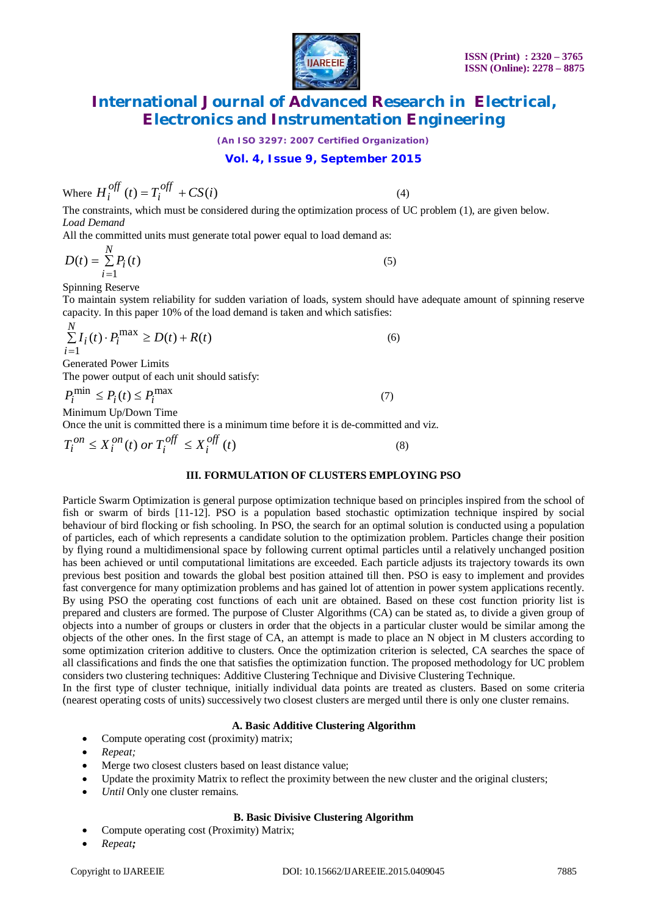

*(An ISO 3297: 2007 Certified Organization)*

### **Vol. 4, Issue 9, September 2015**

Where 
$$
H_i^{off}(t) = T_i^{off} + CS(i)
$$
 (4)

The constraints, which must be considered during the optimization process of UC problem (1), are given below. *Load Demand*

All the committed units must generate total power equal to load demand as:

$$
D(t) = \sum_{i=1}^{N} P_i(t)
$$
\n<sup>(5)</sup>

Spinning Reserve

To maintain system reliability for sudden variation of loads, system should have adequate amount of spinning reserve capacity. In this paper 10% of the load demand is taken and which satisfies:

$$
\sum_{i=1}^{N} I_i(t) \cdot P_i^{\max} \ge D(t) + R(t)
$$
\n(6)

Generated Power Limits

The power output of each unit should satisfy:

$$
P_i^{\min} \le P_i(t) \le P_i^{\max} \tag{7}
$$

Minimum Up/Down Time

Once the unit is committed there is a minimum time before it is de-committed and viz.

$$
T_i^{on} \le X_i^{on}(t) \text{ or } T_i^{off} \le X_i^{off}(t) \tag{8}
$$

### **III. FORMULATION OF CLUSTERS EMPLOYING PSO**

Particle Swarm Optimization is general purpose optimization technique based on principles inspired from the school of fish or swarm of birds [11-12]. PSO is a population based stochastic optimization technique inspired by social behaviour of bird flocking or fish schooling. In PSO, the search for an optimal solution is conducted using a population of particles, each of which represents a candidate solution to the optimization problem. Particles change their position by flying round a multidimensional space by following current optimal particles until a relatively unchanged position has been achieved or until computational limitations are exceeded. Each particle adjusts its trajectory towards its own previous best position and towards the global best position attained till then. PSO is easy to implement and provides fast convergence for many optimization problems and has gained lot of attention in power system applications recently. By using PSO the operating cost functions of each unit are obtained. Based on these cost function priority list is prepared and clusters are formed. The purpose of Cluster Algorithms (CA) can be stated as, to divide a given group of objects into a number of groups or clusters in order that the objects in a particular cluster would be similar among the objects of the other ones. In the first stage of CA, an attempt is made to place an N object in M clusters according to some optimization criterion additive to clusters. Once the optimization criterion is selected, CA searches the space of all classifications and finds the one that satisfies the optimization function. The proposed methodology for UC problem considers two clustering techniques: Additive Clustering Technique and Divisive Clustering Technique.

In the first type of cluster technique, initially individual data points are treated as clusters. Based on some criteria (nearest operating costs of units) successively two closest clusters are merged until there is only one cluster remains.

#### **A. Basic Additive Clustering Algorithm**

- Compute operating cost (proximity) matrix;
- *Repeat;*
- Merge two closest clusters based on least distance value;
- Update the proximity Matrix to reflect the proximity between the new cluster and the original clusters;
- *Until* Only one cluster remains.

### **B. Basic Divisive Clustering Algorithm**

- Compute operating cost (Proximity) Matrix;
- *Repeat;*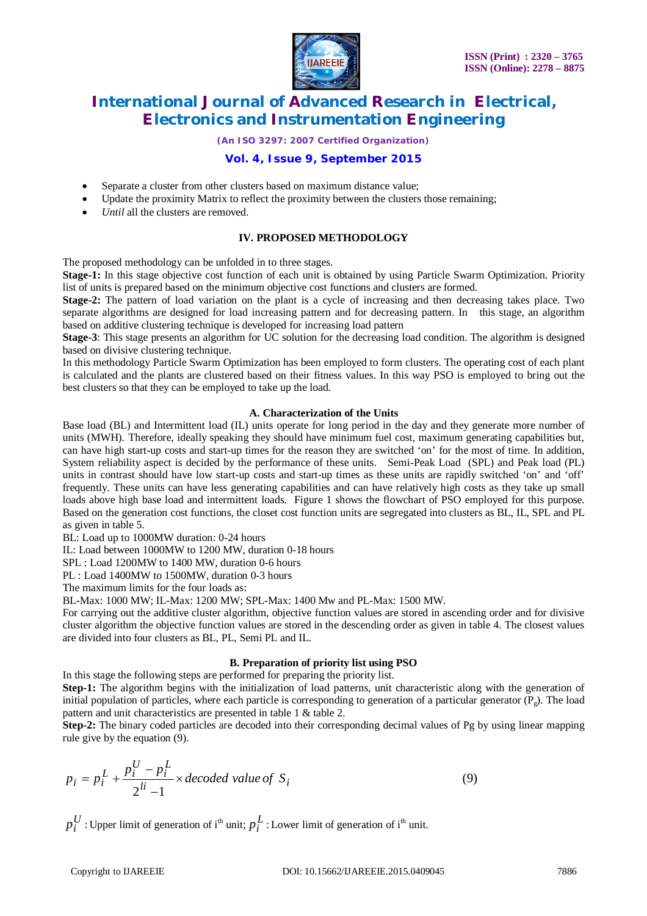

*(An ISO 3297: 2007 Certified Organization)*

### **Vol. 4, Issue 9, September 2015**

- Separate a cluster from other clusters based on maximum distance value;
- Update the proximity Matrix to reflect the proximity between the clusters those remaining;
- *Until* all the clusters are removed.

### **IV. PROPOSED METHODOLOGY**

The proposed methodology can be unfolded in to three stages.

**Stage-1:** In this stage objective cost function of each unit is obtained by using Particle Swarm Optimization. Priority list of units is prepared based on the minimum objective cost functions and clusters are formed.

**Stage-2:** The pattern of load variation on the plant is a cycle of increasing and then decreasing takes place. Two separate algorithms are designed for load increasing pattern and for decreasing pattern. In this stage, an algorithm based on additive clustering technique is developed for increasing load pattern

**Stage-3**: This stage presents an algorithm for UC solution for the decreasing load condition. The algorithm is designed based on divisive clustering technique.

In this methodology Particle Swarm Optimization has been employed to form clusters. The operating cost of each plant is calculated and the plants are clustered based on their fitness values. In this way PSO is employed to bring out the best clusters so that they can be employed to take up the load.

### **A. Characterization of the Units**

Base load (BL) and Intermittent load (IL) units operate for long period in the day and they generate more number of units (MWH). Therefore, ideally speaking they should have minimum fuel cost, maximum generating capabilities but, can have high start-up costs and start-up times for the reason they are switched 'on' for the most of time. In addition, System reliability aspect is decided by the performance of these units. Semi-Peak Load (SPL) and Peak load (PL) units in contrast should have low start-up costs and start-up times as these units are rapidly switched 'on' and 'off' frequently. These units can have less generating capabilities and can have relatively high costs as they take up small loads above high base load and intermittent loads. Figure 1 shows the flowchart of PSO employed for this purpose. Based on the generation cost functions, the closet cost function units are segregated into clusters as BL, IL, SPL and PL as given in table 5.

BL: Load up to 1000MW duration: 0-24 hours

IL: Load between 1000MW to 1200 MW, duration 0-18 hours

SPL : Load 1200MW to 1400 MW, duration 0-6 hours

PL : Load 1400MW to 1500MW, duration 0-3 hours

The maximum limits for the four loads as:

BL-Max: 1000 MW; IL-Max: 1200 MW; SPL-Max: 1400 Mw and PL-Max: 1500 MW.

For carrying out the additive cluster algorithm, objective function values are stored in ascending order and for divisive cluster algorithm the objective function values are stored in the descending order as given in table 4. The closest values are divided into four clusters as BL, PL, Semi PL and IL.

### **B. Preparation of priority list using PSO**

In this stage the following steps are performed for preparing the priority list.

**Step-1:** The algorithm begins with the initialization of load patterns, unit characteristic along with the generation of initial population of particles, where each particle is corresponding to generation of a particular generator  $(P<sub>g</sub>)$ . The load pattern and unit characteristics are presented in table 1 & table 2.

**Step-2:** The binary coded particles are decoded into their corresponding decimal values of Pg by using linear mapping rule give by the equation (9).

$$
p_i = p_i^L + \frac{p_i^U - p_i^L}{2^{li} - 1} \times decoded \text{ value of } S_i
$$
 (9)

*U*  $p_i^U$  : Upper limit of generation of i<sup>th</sup> unit;  $p_i^L$  : Lower limit of generation of i<sup>th</sup> unit.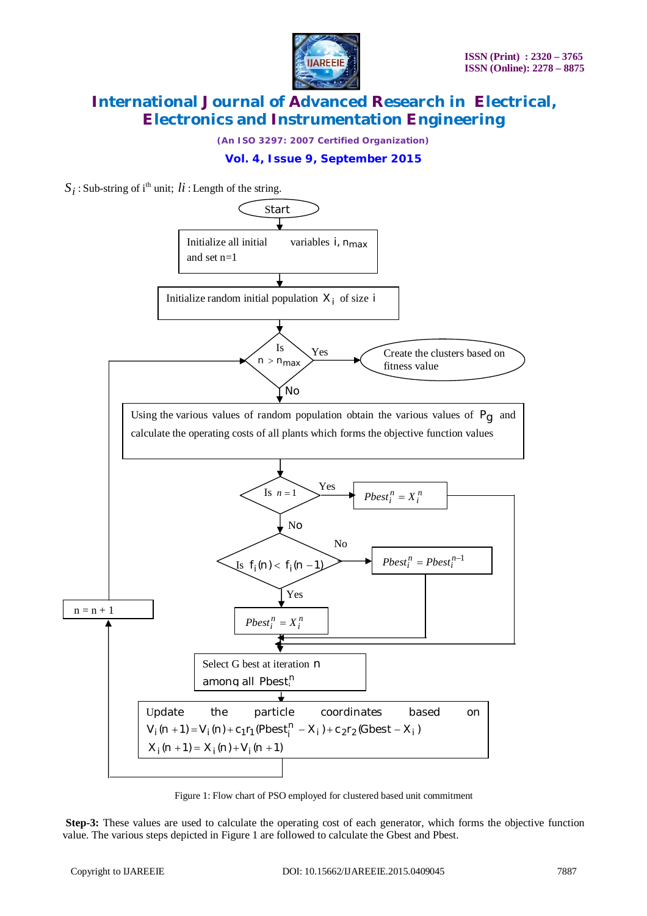

*(An ISO 3297: 2007 Certified Organization)*

## **Vol. 4, Issue 9, September 2015**

 $S_i$ : Sub-string of i<sup>th</sup> unit; *li* : Length of the string.



Figure 1: Flow chart of PSO employed for clustered based unit commitment

**Step-3:** These values are used to calculate the operating cost of each generator, which forms the objective function value. The various steps depicted in Figure 1 are followed to calculate the Gbest and Pbest.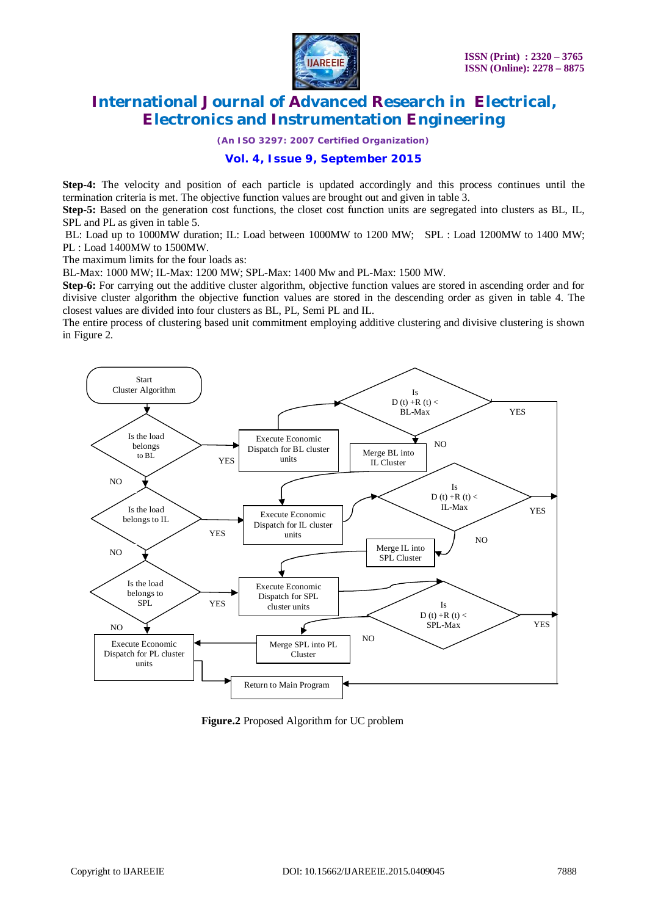

*(An ISO 3297: 2007 Certified Organization)*

### **Vol. 4, Issue 9, September 2015**

**Step-4:** The velocity and position of each particle is updated accordingly and this process continues until the termination criteria is met. The objective function values are brought out and given in table 3.

**Step-5:** Based on the generation cost functions, the closet cost function units are segregated into clusters as BL, IL, SPL and PL as given in table 5.

BL: Load up to 1000MW duration; IL: Load between 1000MW to 1200 MW; SPL : Load 1200MW to 1400 MW; PL : Load 1400MW to 1500MW.

The maximum limits for the four loads as:

BL-Max: 1000 MW; IL-Max: 1200 MW; SPL-Max: 1400 Mw and PL-Max: 1500 MW.

**Step-6:** For carrying out the additive cluster algorithm, objective function values are stored in ascending order and for divisive cluster algorithm the objective function values are stored in the descending order as given in table 4. The closest values are divided into four clusters as BL, PL, Semi PL and IL.

The entire process of clustering based unit commitment employing additive clustering and divisive clustering is shown in Figure 2.



**Figure.2** Proposed Algorithm for UC problem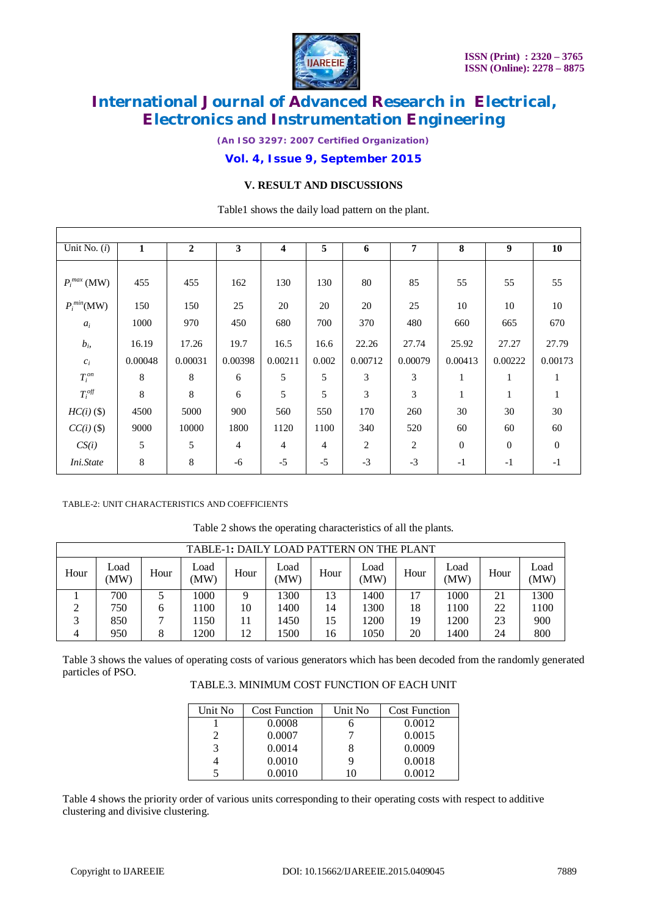

*(An ISO 3297: 2007 Certified Organization)*

**Vol. 4, Issue 9, September 2015**

### **V. RESULT AND DISCUSSIONS**

#### Table1 shows the daily load pattern on the plant.

| Unit No. $(i)$   | 1       | 2       | 3              | 4       | 5     | 6       | 7              | 8            | 9              | 10       |
|------------------|---------|---------|----------------|---------|-------|---------|----------------|--------------|----------------|----------|
|                  |         |         |                |         |       |         |                |              |                |          |
| $P_i^{max}$ (MW) | 455     | 455     | 162            | 130     | 130   | 80      | 85             | 55           | 55             | 55       |
| $P_i^{min}$ (MW) | 150     | 150     | 25             | 20      | 20    | 20      | 25             | 10           | 10             | 10       |
| $a_i$            | 1000    | 970     | 450            | 680     | 700   | 370     | 480            | 660          | 665            | 670      |
| $b_i$            | 16.19   | 17.26   | 19.7           | 16.5    | 16.6  | 22.26   | 27.74          | 25.92        | 27.27          | 27.79    |
| $c_i$            | 0.00048 | 0.00031 | 0.00398        | 0.00211 | 0.002 | 0.00712 | 0.00079        | 0.00413      | 0.00222        | 0.00173  |
| $T_i^{on}$       | 8       | 8       | 6              | 5       | 5     | 3       | 3              | 1            | 1              | 1        |
| $T_i^{off}$      | 8       | 8       | 6              | 5       | 5     | 3       | 3              | $\mathbf{1}$ | $\mathbf{1}$   | 1        |
| $HC(i)$ (\$)     | 4500    | 5000    | 900            | 560     | 550   | 170     | 260            | 30           | 30             | 30       |
| $CC(i)$ (\$)     | 9000    | 10000   | 1800           | 1120    | 1100  | 340     | 520            | 60           | 60             | 60       |
| CS(i)            | 5       | 5       | $\overline{4}$ | 4       | 4     | 2       | $\overline{2}$ | $\mathbf{0}$ | $\overline{0}$ | $\Omega$ |
| Ini.State        | 8       | 8       | -6             | $-5$    | $-5$  | $-3$    | $-3$           | $-1$         | $-1$           | $-1$     |

#### TABLE-2: UNIT CHARACTERISTICS AND COEFFICIENTS

| Table 2 shows the operating characteristics of all the plants. |  |  |  |
|----------------------------------------------------------------|--|--|--|
|----------------------------------------------------------------|--|--|--|

|      | TABLE-1: DAILY LOAD PATTERN ON THE PLANT |      |              |      |             |      |              |      |              |      |             |
|------|------------------------------------------|------|--------------|------|-------------|------|--------------|------|--------------|------|-------------|
| Hour | Load<br>MW)                              | Hour | Load<br>(MW) | Hour | Load<br>MW) | Hour | Load<br>(MW) | Hour | Load<br>(MW) | Hour | Load<br>'MW |
|      | 700                                      |      | 1000         |      | 1300        | 13   | 1400         | 17   | 1000         | 21   | 1300        |
| ∍    | 750                                      | 6    | 100          | 10   | 1400        | 14   | 1300         | 18   | 1100         | 22   | 1100        |
| 2    | 850                                      | ⇁    | 150          | 11   | 1450        | 15   | 1200         | 19   | 1200         | 23   | 900         |
| 4    | 950                                      | 8    | 1200         | 12   | 1500        | 16   | 1050         | 20   | 1400         | 24   | 800         |

Table 3 shows the values of operating costs of various generators which has been decoded from the randomly generated particles of PSO.

TABLE.3. MINIMUM COST FUNCTION OF EACH UNIT

| Unit No | <b>Cost Function</b> | Unit No | <b>Cost Function</b> |
|---------|----------------------|---------|----------------------|
|         | 0.0008               |         | 0.0012               |
|         | 0.0007               |         | 0.0015               |
|         | 0.0014               |         | 0.0009               |
|         | 0.0010               |         | 0.0018               |
|         | 0.0010               |         | 0.0012               |

Table 4 shows the priority order of various units corresponding to their operating costs with respect to additive clustering and divisive clustering.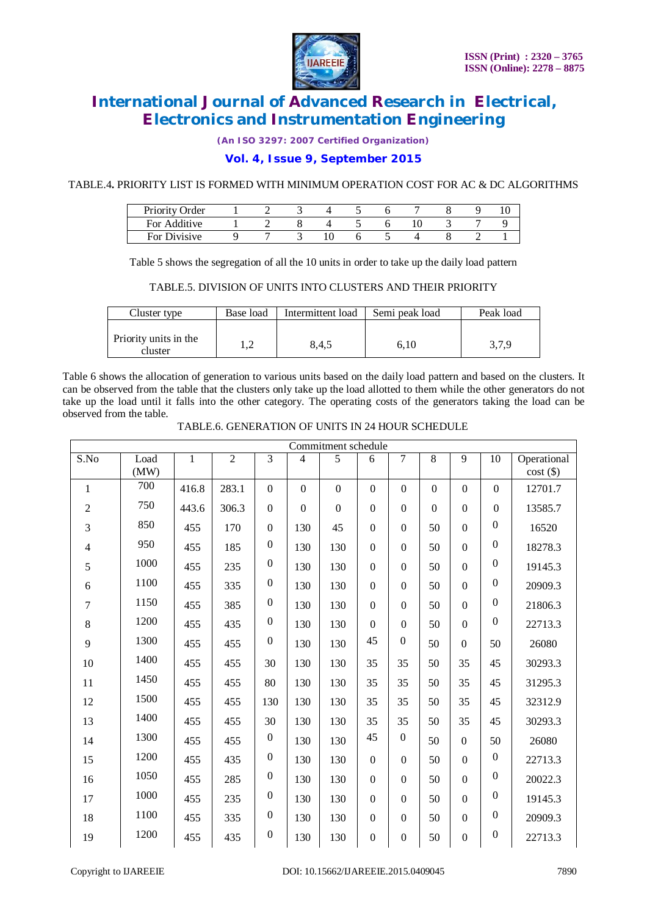

*(An ISO 3297: 2007 Certified Organization)*

### **Vol. 4, Issue 9, September 2015**

### TABLE.4**.** PRIORITY LIST IS FORMED WITH MINIMUM OPERATION COST FOR AC & DC ALGORITHMS

| Priority Order |  |  |  |  |  |
|----------------|--|--|--|--|--|
| For Additive   |  |  |  |  |  |
| For Divisive   |  |  |  |  |  |

Table 5 shows the segregation of all the 10 units in order to take up the daily load pattern

### TABLE.5. DIVISION OF UNITS INTO CLUSTERS AND THEIR PRIORITY

| Cluster type                     | Base load | Intermittent load | Semi peak load | Peak load |
|----------------------------------|-----------|-------------------|----------------|-----------|
| Priority units in the<br>cluster | ⊥.∠       | 8,4,5             | 6.10           | 3,7,9     |

Table 6 shows the allocation of generation to various units based on the daily load pattern and based on the clusters. It can be observed from the table that the clusters only take up the load allotted to them while the other generators do not take up the load until it falls into the other category. The operating costs of the generators taking the load can be observed from the table.

TABLE.6. GENERATION OF UNITS IN 24 HOUR SCHEDULE

|                |              |              |                |                  |                  | Commitment schedule |                |                |                  |                  |                  |                       |
|----------------|--------------|--------------|----------------|------------------|------------------|---------------------|----------------|----------------|------------------|------------------|------------------|-----------------------|
| S.No           | Load<br>(MW) | $\mathbf{1}$ | $\overline{2}$ | $\overline{3}$   | 4                | 5                   | 6              | $\overline{7}$ | 8                | 9                | 10               | Operational<br>cost() |
| $\mathbf{1}$   | 700          | 416.8        | 283.1          | $\mathbf{0}$     | $\boldsymbol{0}$ | $\overline{0}$      | $\Omega$       | $\overline{0}$ | $\boldsymbol{0}$ | $\overline{0}$   | $\Omega$         | 12701.7               |
| $\overline{2}$ | 750          | 443.6        | 306.3          | $\boldsymbol{0}$ | $\mathbf{0}$     | $\overline{0}$      | $\Omega$       | $\theta$       | $\theta$         | $\overline{0}$   | $\Omega$         | 13585.7               |
| 3              | 850          | 455          | 170            | $\mathbf{0}$     | 130              | 45                  | $\Omega$       | $\overline{0}$ | 50               | $\overline{0}$   | $\mathbf{0}$     | 16520                 |
| $\overline{4}$ | 950          | 455          | 185            | $\boldsymbol{0}$ | 130              | 130                 | $\mathbf{0}$   | $\overline{0}$ | 50               | $\overline{0}$   | $\mathbf{0}$     | 18278.3               |
| 5              | 1000         | 455          | 235            | $\mathbf{0}$     | 130              | 130                 | $\Omega$       | $\theta$       | 50               | $\overline{0}$   | $\mathbf{0}$     | 19145.3               |
| 6              | 1100         | 455          | 335            | $\boldsymbol{0}$ | 130              | 130                 | $\overline{0}$ | $\theta$       | 50               | $\overline{0}$   | $\mathbf{0}$     | 20909.3               |
| 7              | 1150         | 455          | 385            | $\boldsymbol{0}$ | 130              | 130                 | $\mathbf{0}$   | $\mathbf{0}$   | 50               | $\boldsymbol{0}$ | $\mathbf{0}$     | 21806.3               |
| 8              | 1200         | 455          | 435            | $\boldsymbol{0}$ | 130              | 130                 | $\Omega$       | $\overline{0}$ | 50               | $\boldsymbol{0}$ | $\mathbf{0}$     | 22713.3               |
| 9              | 1300         | 455          | 455            | $\boldsymbol{0}$ | 130              | 130                 | 45             | $\overline{0}$ | 50               | $\overline{0}$   | 50               | 26080                 |
| 10             | 1400         | 455          | 455            | 30               | 130              | 130                 | 35             | 35             | 50               | 35               | 45               | 30293.3               |
| 11             | 1450         | 455          | 455            | 80               | 130              | 130                 | 35             | 35             | 50               | 35               | 45               | 31295.3               |
| 12             | 1500         | 455          | 455            | 130              | 130              | 130                 | 35             | 35             | 50               | 35               | 45               | 32312.9               |
| 13             | 1400         | 455          | 455            | 30               | 130              | 130                 | 35             | 35             | 50               | 35               | 45               | 30293.3               |
| 14             | 1300         | 455          | 455            | $\mathbf{0}$     | 130              | 130                 | 45             | $\Omega$       | 50               | $\mathbf{0}$     | 50               | 26080                 |
| 15             | 1200         | 455          | 435            | $\boldsymbol{0}$ | 130              | 130                 | $\Omega$       | $\overline{0}$ | 50               | $\overline{0}$   | $\mathbf{0}$     | 22713.3               |
| 16             | 1050         | 455          | 285            | $\boldsymbol{0}$ | 130              | 130                 | $\overline{0}$ | $\theta$       | 50               | $\overline{0}$   | $\mathbf{0}$     | 20022.3               |
| 17             | 1000         | 455          | 235            | $\boldsymbol{0}$ | 130              | 130                 | $\mathbf{0}$   | $\overline{0}$ | 50               | $\overline{0}$   | $\Omega$         | 19145.3               |
| 18             | 1100         | 455          | 335            | $\boldsymbol{0}$ | 130              | 130                 | $\Omega$       | $\theta$       | 50               | $\overline{0}$   | $\mathbf{0}$     | 20909.3               |
| 19             | 1200         | 455          | 435            | $\mathbf{0}$     | 130              | 130                 | $\mathbf{0}$   | $\mathbf{0}$   | 50               | $\overline{0}$   | $\boldsymbol{0}$ | 22713.3               |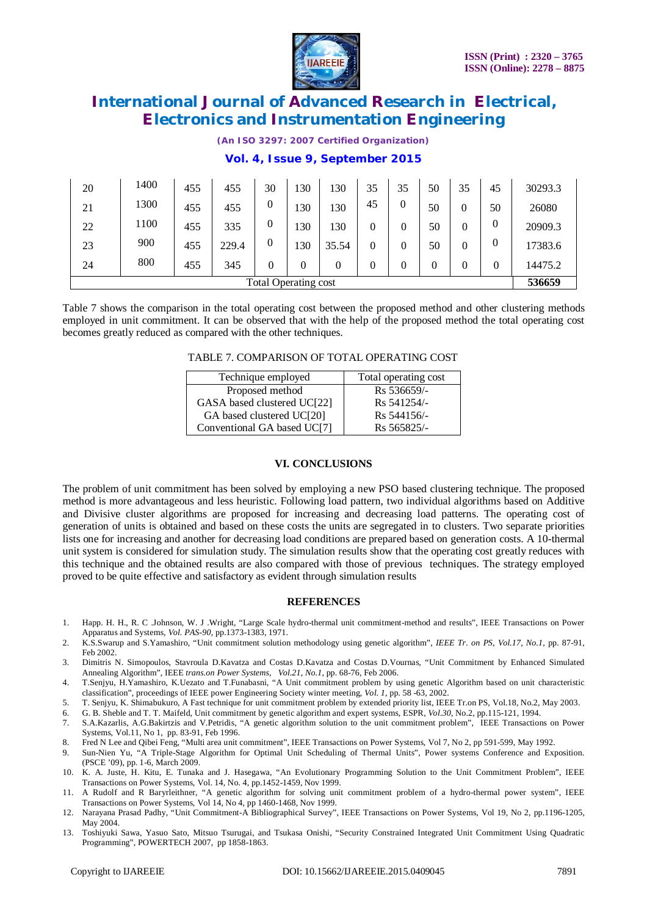

*(An ISO 3297: 2007 Certified Organization)*

### **Vol. 4, Issue 9, September 2015**

| 20 | 1400                        | 455 | 455   | 30 | 130      | 130   | 35             | 35 | 50 | 35     | 45             | 30293.3 |
|----|-----------------------------|-----|-------|----|----------|-------|----------------|----|----|--------|----------------|---------|
| 21 | 1300                        | 455 | 455   | 0  | 130      | 130   | 45             | 0  | 50 | 0      | 50             | 26080   |
| 22 | 1100                        | 455 | 335   | 0  | 130      | 130   | $\theta$       | 0  | 50 | 0      | 0              | 20909.3 |
| 23 | 900                         | 455 | 229.4 | 0  | 130      | 35.54 | $\theta$       | 0  | 50 | 0      | $\overline{0}$ | 17383.6 |
| 24 | 800                         | 455 | 345   | 0  | $\theta$ | 0     | $\overline{0}$ | 0  | 0  | 0      |                | 14475.2 |
|    | <b>Total Operating cost</b> |     |       |    |          |       |                |    |    | 536659 |                |         |

Table 7 shows the comparison in the total operating cost between the proposed method and other clustering methods employed in unit commitment. It can be observed that with the help of the proposed method the total operating cost becomes greatly reduced as compared with the other techniques.

TABLE 7. COMPARISON OF TOTAL OPERATING COST

| Technique employed          | Total operating cost |
|-----------------------------|----------------------|
| Proposed method             | Rs 536659/-          |
| GASA based clustered UC[22] | Rs 541254/-          |
| GA based clustered UC[20]   | Rs 544156/-          |
| Conventional GA based UC[7] | Rs 565825/-          |

#### **VI. CONCLUSIONS**

The problem of unit commitment has been solved by employing a new PSO based clustering technique. The proposed method is more advantageous and less heuristic. Following load pattern, two individual algorithms based on Additive and Divisive cluster algorithms are proposed for increasing and decreasing load patterns. The operating cost of generation of units is obtained and based on these costs the units are segregated in to clusters. Two separate priorities lists one for increasing and another for decreasing load conditions are prepared based on generation costs. A 10-thermal unit system is considered for simulation study. The simulation results show that the operating cost greatly reduces with this technique and the obtained results are also compared with those of previous techniques. The strategy employed proved to be quite effective and satisfactory as evident through simulation results

#### **REFERENCES**

- 1. Happ. H. H., R. C .Johnson, W. J .Wright, "Large Scale hydro-thermal unit commitment-method and results", IEEE Transactions on Power Apparatus and Systems*, Vol. PAS-90*, pp.1373-1383, 1971.
- 2. K.S.Swarup and S.Yamashiro, "Unit commitment solution methodology using genetic algorithm", *IEEE Tr. on PS*, *Vol.17, No.1*, pp. 87-91, Feb 2002.
- 3. Dimitris N. Simopoulos, Stavroula D.Kavatza and Costas D.Kavatza and Costas D.Vournas, "Unit Commitment by Enhanced Simulated Annealing Algorithm", IEEE *trans.on Power Systems*, *Vol.21*, *No.1*, pp. 68-76, Feb 2006.
- 4. T.Senjyu, H.Yamashiro, K.Uezato and T.Funabasni, "A Unit commitment problem by using genetic Algorithm based on unit characteristic classification", proceedings of IEEE power Engineering Society winter meeting, *Vol. 1*, pp. 58 -63, 2002.
- 5. T. Senjyu, K. Shimabukuro, A Fast technique for unit commitment problem by extended priority list, IEEE Tr.on PS, Vol.18*,* No.2, May 2003.

6. G. B. Sheble and T. T. Maifeld, Unit commitment by genetic algorithm and expert systems, ESPR, *Vol.30*, No.2, pp.115-121, 1994.

- 7. S.A.Kazarlis, A.G.Bakirtzis and V.Petridis, "A genetic algorithm solution to the unit commitment problem", IEEE Transactions on Power Systems, Vol.11, No 1, pp. 83-91, Feb 1996.
- 8. Fred N Lee and Qibei Feng, "Multi area unit commitment", IEEE Transactions on Power Systems, Vol 7, No 2, pp 591-599, May 1992.
- 9. Sun-Nien Yu, "A Triple-Stage Algorithm for Optimal Unit Scheduling of Thermal Units", Power systems Conference and Exposition. (PSCE '09), pp. 1-6, March 2009.
- 10. K. A. Juste, H. Kitu, E. Tunaka and J. Hasegawa, "An Evolutionary Programming Solution to the Unit Commitment Problem", IEEE Transactions on Power Systems, Vol. 14, No. 4, pp.1452-1459, Nov 1999.
- 11. A Rudolf and R Baryrleithner, "A genetic algorithm for solving unit commitment problem of a hydro-thermal power system", IEEE Transactions on Power Systems, Vol 14, No 4, pp 1460-1468, Nov 1999.
- 12. Narayana Prasad Padhy, "Unit Commitment-A Bibliographical Survey", IEEE Transactions on Power Systems, Vol 19, No 2, pp.1196-1205, May 2004.
- 13. Toshiyuki Sawa, Yasuo Sato, Mitsuo Tsurugai, and Tsukasa Onishi, "Security Constrained Integrated Unit Commitment Using Quadratic Programming", POWERTECH 2007, pp 1858-1863.